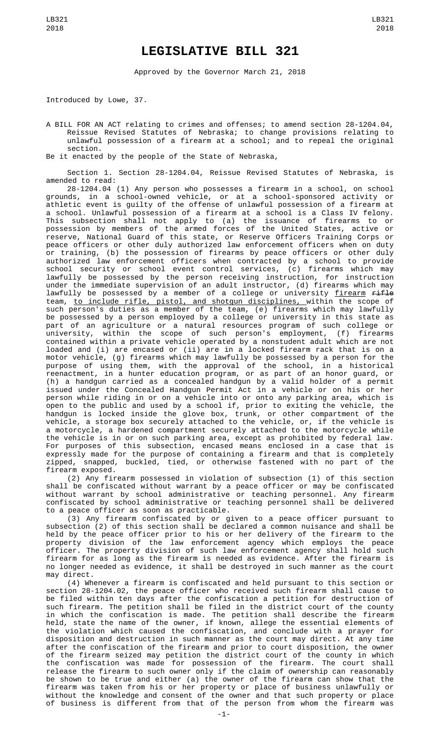## **LEGISLATIVE BILL 321**

Approved by the Governor March 21, 2018

Introduced by Lowe, 37.

A BILL FOR AN ACT relating to crimes and offenses; to amend section 28-1204.04, Reissue Revised Statutes of Nebraska; to change provisions relating to unlawful possession of a firearm at a school; and to repeal the original section.

Be it enacted by the people of the State of Nebraska,

Section 1. Section 28-1204.04, Reissue Revised Statutes of Nebraska, is amended to read:

28-1204.04 (1) Any person who possesses a firearm in a school, on school grounds, in a school-owned vehicle, or at a school-sponsored activity or athletic event is guilty of the offense of unlawful possession of a firearm at a school. Unlawful possession of a firearm at a school is a Class IV felony. This subsection shall not apply to (a) the issuance of firearms to or possession by members of the armed forces of the United States, active or reserve, National Guard of this state, or Reserve Officers Training Corps or peace officers or other duly authorized law enforcement officers when on duty or training, (b) the possession of firearms by peace officers or other duly authorized law enforcement officers when contracted by a school to provide school security or school event control services, (c) firearms which may lawfully be possessed by the person receiving instruction, for instruction under the immediate supervision of an adult instructor, (d) firearms which may lawfully be possessed by a member of a college or university <u>firearm</u> <del>rifle</del> team, <u>to include rifle, pistol, and shotgun disciplines, w</u>ithin the scope of such person's duties as a member of the team, (e) firearms which may lawfully be possessed by a person employed by a college or university in this state as part of an agriculture or a natural resources program of such college or university, within the scope of such person's employment, (f) firearms contained within a private vehicle operated by a nonstudent adult which are not loaded and (i) are encased or (ii) are in a locked firearm rack that is on a motor vehicle, (g) firearms which may lawfully be possessed by a person for the purpose of using them, with the approval of the school, in a historical reenactment, in a hunter education program, or as part of an honor guard, or (h) a handgun carried as a concealed handgun by a valid holder of a permit issued under the Concealed Handgun Permit Act in a vehicle or on his or her person while riding in or on a vehicle into or onto any parking area, which is open to the public and used by a school if, prior to exiting the vehicle, the handgun is locked inside the glove box, trunk, or other compartment of the vehicle, a storage box securely attached to the vehicle, or, if the vehicle is a motorcycle, a hardened compartment securely attached to the motorcycle while the vehicle is in or on such parking area, except as prohibited by federal law. For purposes of this subsection, encased means enclosed in a case that is expressly made for the purpose of containing a firearm and that is completely zipped, snapped, buckled, tied, or otherwise fastened with no part of the firearm exposed.

(2) Any firearm possessed in violation of subsection (1) of this section shall be confiscated without warrant by a peace officer or may be confiscated without warrant by school administrative or teaching personnel. Any firearm confiscated by school administrative or teaching personnel shall be delivered to a peace officer as soon as practicable.

(3) Any firearm confiscated by or given to a peace officer pursuant to subsection (2) of this section shall be declared a common nuisance and shall be held by the peace officer prior to his or her delivery of the firearm to the property division of the law enforcement agency which employs the peace officer. The property division of such law enforcement agency shall hold such firearm for as long as the firearm is needed as evidence. After the firearm is no longer needed as evidence, it shall be destroyed in such manner as the court may direct.

(4) Whenever a firearm is confiscated and held pursuant to this section or section 28-1204.02, the peace officer who received such firearm shall cause to be filed within ten days after the confiscation a petition for destruction of such firearm. The petition shall be filed in the district court of the county in which the confiscation is made. The petition shall describe the firearm held, state the name of the owner, if known, allege the essential elements of the violation which caused the confiscation, and conclude with a prayer for disposition and destruction in such manner as the court may direct. At any time after the confiscation of the firearm and prior to court disposition, the owner of the firearm seized may petition the district court of the county in which the confiscation was made for possession of the firearm. The court shall release the firearm to such owner only if the claim of ownership can reasonably be shown to be true and either (a) the owner of the firearm can show that the firearm was taken from his or her property or place of business unlawfully or without the knowledge and consent of the owner and that such property or place of business is different from that of the person from whom the firearm was